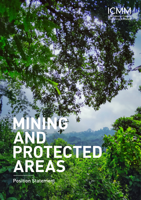

# AND ROID

**Position Statement**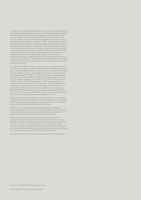This publication contains general guidance only and should not be relied upon as a substitute for appropriate technical expertise. Although reasonable precautions have been taken to verify the information contained in this publication as of the date of publication, it is being distributed without warranty of any kind, either express or implied. This document has been prepared with the input of various International Council on Mining and Metals ("ICMM") members and other parties. However, the responsibility for its adoption and application rests solely with each individual member company. At no stage does ICMM or any individual company accept responsibility for the failures or liabilities of any other member company, and expressly disclaims the same. Each ICMM member company is responsible for determining and implementing management practices at its facility, and ICMM expressly disclaims any responsibility related to determination or implementation of any management practice. Moreover, although ICMM and its members are committed to an aspirational goal of zero fatalities at any mine site or facility, mining is an inherently hazardous industry, and this goal unfortunately has yet to be achieved.

In no event shall ICMM (including its officers, directors, and affiliates, as well as its contributors, reviewers, or editors to this publication) be liable for damages or losses of any kind, however arising, from the use of or reliance on this document, or implementation of any plan, policy, guidance, or decision, or the like, based on this general guidance. ICMM, its officers, and its directors expressly disclaim any liability of any nature whatsoever, whether under equity, common law, tort, contract, estoppel, negligence, strict liability, or any other theory, for any direct, incidental, special, punitive, consequential, or indirect damages arising from or related to the use of or reliance on this document. The responsibility for the interpretation and use of this publication lies with the user (who should not assume that it is error-free or that it will be suitable for the user's purpose) and ICMM. ICMM's officers and directors assume no responsibility whatsoever for errors or omissions in this publication or in other source materials that are referenced by this publication, and expressly disclaim the same.

Except where explicitly stated otherwise, the views expressed do not necessarily represent the decisions or the stated policy of ICMM, its officers, or its directors, and this document does not constitute a position statement or other mandatory commitment that members of ICMM are obliged to adopt.

ICMM, its officers, and its directors are not responsible for, and make no representation(s) about, the content or reliability of linked websites, and linking should not be taken as endorsement of any kind. We have no control over the availability of linked pages and accept no responsibility for them.

The designations employed and the presentation of the material in this publication do not imply the expression of any opinion whatsoever on the part of ICMM, its officers, or its directors concerning the legal status of any country, territory, city or area or of its authorities, or concerning delimitation of any frontiers or boundaries. In addition, the mention of specific entities, individuals, source materials, trade names, or commercial processes in this publication does not constitute endorsement by ICMM, its officers, or its directors.

This disclaimer should be construed in accordance with the laws of England.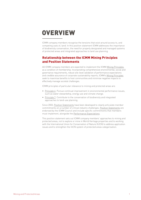## **OVERVIEW**

ICMM company members recognise the tensions that exist around access to, and competing uses of, land. In this position statement ICMM addresses the importance of biodiversity conservation, the need for properly designated and managed systems of protected areas and integrated approaches to land use planning.

#### Relationship between the ICMM Mining Principles and Position Statements

All ICMM company members are expected to implement the ICMM [Mining Principles](https://www.icmm.com/mining-principles)  as a condition of membership. Incorporating comprehensive environmental, social and governance requirements, robust site-level validation of performance expectations and credible assurance of corporate sustainability reports, ICMM's [Mining Principles](https://www.icmm.com/mining-principles) seek to maximise benefits to host communities and minimise negative impacts to effectively manage societal challenges.

ICMM principles of particular relevance to mining and protected areas are:

- [Principle 6](https://www.icmm.com/mining-principles/6): Pursue continual improvement in environmental performance issues, such as water stewardship, energy use and climate change.
- [Principle 7](https://www.icmm.com/mining-principles/7): Contribute to the conservation of biodiversity and integrated approaches to land-use planning.

Since 2003, [Position Statements](https://www.icmm.com/position-statements) have been developed to clearly articulate member commitments on a number of critical industry challenges. [Position Statements](https://www.icmm.com/position-statements) are endorsed by the ICMM Council and include specific commitments that members must implement, alongside the [Performance Expectations.](https://www.icmm.com/mining-principles)

This position statement sets out ICMM company members' approaches to mining and protected areas, not to explore or mine in World Heritage properties and to working with the International Union for Conservation of Nature (IUCN) to address application issues and to strengthen the IUCN system of protected areas categorisation.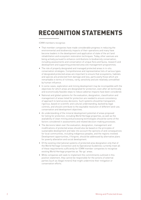# **RECOGNITION STATEMENTS**

ICMM members recognise:

- That member companies have made considerable progress in reducing the environmental and biodiversity impacts of their operations and many have become leaders in the development and application of state of the art land rehabilitation and ecosystem restoration techniques. Today, other avenues are being actively pursued to enhance contributions to biodiversity conservation, including assessments and conservation of unique flora and fauna, research and development and supporting protected area site management programmes.
- The role of properly designated and managed protected areas in in-situ conservation strategies. Comprehensive and representative lists of various types of designated protected areas are important to ensure that ecosystems, habitats and species are protected from damage and loss, particularly those which are remarkable in terms of richness, rarity, sensitivity and are relatively unmodified by human influence.
- In some cases, exploration and mining development may be incompatible with the objectives for which areas are designated for protection, even after all technically and economically feasible steps to reduce adverse impacts have been considered.
- National and global systems for the evaluation, designation, classification and management of areas listed for protection are needed to ensure consistency of approach to land access decisions. Such systems should be transparent, rigorous, based on scientific and cultural understanding, backed by legal controls, and should contribute to the equitable resolution of different land-use, conservation and development objectives.
- An understanding of the mineral development potential of areas proposed for listing for protection, including World Heritage properties, as well as the availability of clean mining and processing technologies should be some of the factors considered in assessments and related decision-making processes.
- The decisions taken over the evaluation, designation, management and modifications of protected areas should also be based on the principles of sustainable development and take into account the opinions of and consequences for local communities, including indigenous peoples, and the regions involved. Development opportunities, if forgone, should be addressed by alternative plans for poverty alleviation and social development.
- Of the existing international systems of protected area designation only that of the World Heritage Convention and its Operational Guidelines currently meet all of these requirements sufficiently for ICMM member companies to recognise existing World Heritage properties as 'No-go' areas.
- While companies will seek to implement the commitments outlined in this position statement, they cannot be responsible for the actions of external parties (such as illegal miners) that might undermine their mitigation or conservation efforts.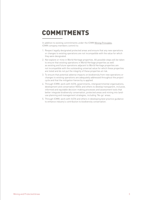## **COMMITMENTS**

In addition to existing commitments under the ICMM [Mining Principles,](https://www.icmm.com/mining-principles) ICMM company members commit to:

- 1. Respect legally designated protected areas and ensure that any new operations or changes to existing operations are not incompatible with the value for which they were designated.
- 2. Not explore or mine in World Heritage properties. All possible steps will be taken to ensure that existing operations in World Heritage properties as well as existing and future operations adjacent to World Heritage properties are not incompatible with the outstanding universal value for which these properties are listed and do not put the integrity of these properties at risk.
- 3. To ensure that potential adverse impacts on biodiversity from new operations or changes to existing operations are adequately addressed throughout the project cycle and that the mitigation hierarchy is applied.
- 4. Through ICMM, work with IUCN, governments, intergovernmental organisations, development and conservation NGOs and others to develop transparent, inclusive, informed and equitable decision-making processes and assessment tools that better integrate biodiversity conservation, protected areas and mining into landuse planning and management strategies, including 'No-go' areas.
- 5. Through ICMM, work with IUCN and others in developing best practice guidance to enhance industry's contribution to biodiversity conservation.